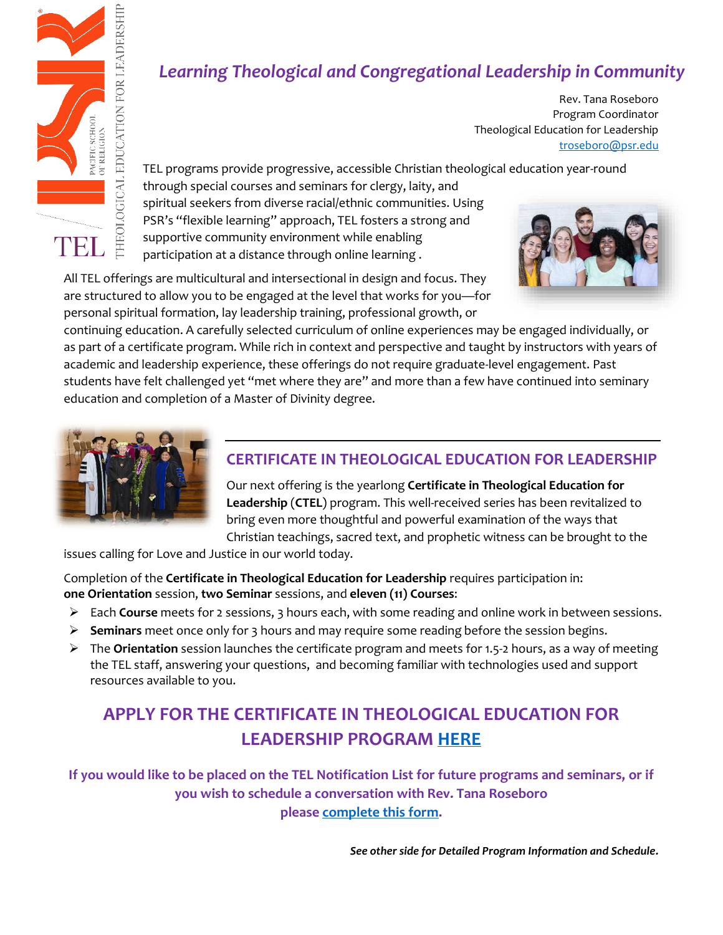

## *Learning Theological and Congregational Leadership in Community*

Rev. Tana Roseboro Program Coordinator Theological Education for Leadership [troseboro@psr.edu](mailto:troseboro@psr.edu)

TEL programs provide progressive, accessible Christian theological education year-round

through special courses and seminars for clergy, laity, and spiritual seekers from diverse racial/ethnic communities. Using PSR's "flexible learning" approach, TEL fosters a strong and supportive community environment while enabling participation at a distance through online learning .



All TEL offerings are multicultural and intersectional in design and focus. They are structured to allow you to be engaged at the level that works for you—for personal spiritual formation, lay leadership training, professional growth, or

continuing education. A carefully selected curriculum of online experiences may be engaged individually, or as part of a certificate program. While rich in context and perspective and taught by instructors with years of academic and leadership experience, these offerings do not require graduate-level engagement. Past students have felt challenged yet "met where they are" and more than a few have continued into seminary education and completion of a Master of Divinity degree.



#### **CERTIFICATE IN THEOLOGICAL EDUCATION FOR LEADERSHIP**

Our next offering is the yearlong **Certificate in Theological Education for Leadership** (**CTEL**) program. This well-received series has been revitalized to bring even more thoughtful and powerful examination of the ways that Christian teachings, sacred text, and prophetic witness can be brought to the

issues calling for Love and Justice in our world today.

Completion of the **Certificate in Theological Education for Leadership** requires participation in: **one Orientation** session, **two Seminar** sessions, and **eleven (11) Courses**:

- ➢ Each **Course** meets for 2 sessions, 3 hours each, with some reading and online work in between sessions.
- ➢ **Seminars** meet once only for 3 hours and may require some reading before the session begins.
- ➢ The **Orientation** session launches the certificate program and meets for 1.5-2 hours, as a way of meeting the TEL staff, answering your questions, and becoming familiar with technologies used and support resources available to you.

### **APPLY FOR THE CERTIFICATE IN THEOLOGICAL EDUCATION FOR LEADERSHIP PROGRAM [HERE](https://psr-uga.edu.185r.net/survey/?id=112)**

**If you would like to be placed on the TEL Notification List for future programs and seminars, or if you wish to schedule a conversation with Rev. Tana Roseboro please [complete this form.](https://forms.gle/YWDDbRTj7yNG7MxY7)**

*See other side for Detailed Program Information and Schedule.*